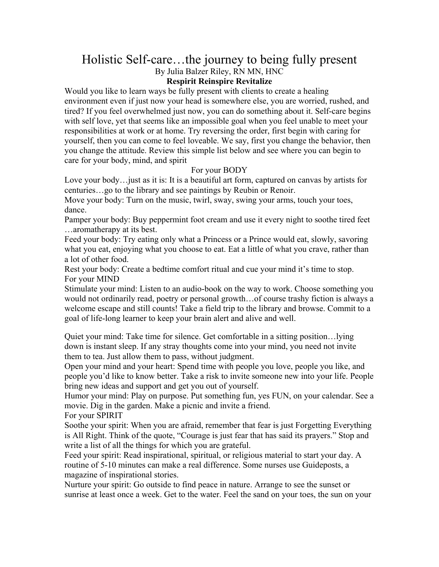## Holistic Self-care…the journey to being fully present By Julia Balzer Riley, RN MN, HNC

## **Respirit Reinspire Revitalize**

Would you like to learn ways be fully present with clients to create a healing environment even if just now your head is somewhere else, you are worried, rushed, and tired? If you feel overwhelmed just now, you can do something about it. Self-care begins with self love, yet that seems like an impossible goal when you feel unable to meet your responsibilities at work or at home. Try reversing the order, first begin with caring for yourself, then you can come to feel loveable. We say, first you change the behavior, then you change the attitude. Review this simple list below and see where you can begin to care for your body, mind, and spirit

## For your BODY

Love your body…just as it is: It is a beautiful art form, captured on canvas by artists for centuries…go to the library and see paintings by Reubin or Renoir.

Move your body: Turn on the music, twirl, sway, swing your arms, touch your toes, dance.

Pamper your body: Buy peppermint foot cream and use it every night to soothe tired feet …aromatherapy at its best.

Feed your body: Try eating only what a Princess or a Prince would eat, slowly, savoring what you eat, enjoying what you choose to eat. Eat a little of what you crave, rather than a lot of other food.

Rest your body: Create a bedtime comfort ritual and cue your mind it's time to stop. For your MIND

Stimulate your mind: Listen to an audio-book on the way to work. Choose something you would not ordinarily read, poetry or personal growth…of course trashy fiction is always a welcome escape and still counts! Take a field trip to the library and browse. Commit to a goal of life-long learner to keep your brain alert and alive and well.

Quiet your mind: Take time for silence. Get comfortable in a sitting position…lying down is instant sleep. If any stray thoughts come into your mind, you need not invite them to tea. Just allow them to pass, without judgment.

Open your mind and your heart: Spend time with people you love, people you like, and people you'd like to know better. Take a risk to invite someone new into your life. People bring new ideas and support and get you out of yourself.

Humor your mind: Play on purpose. Put something fun, yes FUN, on your calendar. See a movie. Dig in the garden. Make a picnic and invite a friend. For your SPIRIT

Soothe your spirit: When you are afraid, remember that fear is just Forgetting Everything is All Right. Think of the quote, "Courage is just fear that has said its prayers." Stop and

write a list of all the things for which you are grateful. Feed your spirit: Read inspirational, spiritual, or religious material to start your day. A

routine of 5-10 minutes can make a real difference. Some nurses use Guideposts, a magazine of inspirational stories.

Nurture your spirit: Go outside to find peace in nature. Arrange to see the sunset or sunrise at least once a week. Get to the water. Feel the sand on your toes, the sun on your